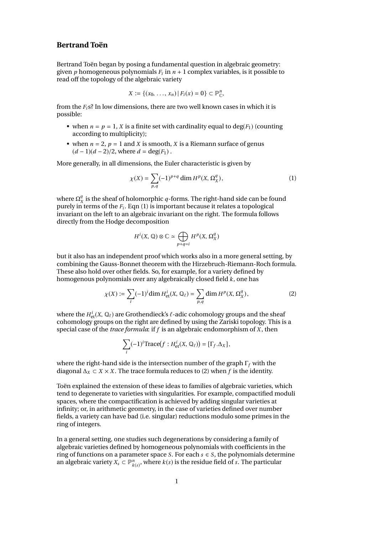## **Bertrand Toën**

Bertrand Toën began by posing a fundamental question in algebraic geometry: given *p* homogeneous polynomials *F<sup>i</sup>* in *n* + 1 complex variables, is it possible to read off the topology of the algebraic variety

$$
X := \{(x_0, \ldots, x_n) | F_i(x) = 0\} \subset \mathbb{P}_{\mathbb{C}}^n,
$$

from the  $F_i$ <sup>s?</sup> In low dimensions, there are two well known cases in which it is possible:

- when  $n = p = 1$ , X is a finite set with cardinality equal to  $deg(F_1)$  (counting according to multiplicity);
- when  $n = 2$ ,  $p = 1$  and *X* is smooth, *X* is a Riemann surface of genus  $(d-1)(d-2)/2$ , where  $d = \deg(F_1)$ .

More generally, in all dimensions, the Euler characteristic is given by

$$
\chi(X) = \sum_{p,q} (-1)^{p+q} \dim H^p(X, \Omega_X^q),\tag{1}
$$

where  $\Omega^q_\lambda$  $\frac{q}{X}$  is the sheaf of holomorphic  $q$ -forms. The right-hand side can be found purely in terms of the *F<sup>i</sup>* . Eqn (1) is important because it relates a topological invariant on the left to an algebraic invariant on the right. The formula follows directly from the Hodge decomposition

$$
H^i(X,\,\mathbb{Q})\otimes\mathbb{C}\simeq\bigoplus_{p+q=i}H^p(X,\,\Omega^q_X)
$$

but it also has an independent proof which works also in a more general setting, by combining the Gauss-Bonnet theorem with the Hirzebruch-Riemann-Roch formula. These also hold over other fields. So, for example, for a variety defined by homogenous polynomials over any algebraically closed field *k*, one has

$$
\chi(X) := \sum_{i} (-1)^i \dim H_{\text{et}}^i(X, \mathbb{Q}_\ell) = \sum_{p,q} \dim H^p(X, \Omega_X^q),\tag{2}
$$

where the  $H_{\text{et}}^i(X, \mathbb{Q}_\ell)$  are Grothendieck's  $\ell$ -adic cohomology groups and the sheaf<br>cohomology groups on the right are defined by using the Zariski topology. This is cohomology groups on the right are defined by using the Zariski topology. This is a special case of the *trace formula*: if *f* is an algebraic endomorphism of *X* , then

$$
\sum_{i} (-1)^i \text{Trace}(f : H^i_{\text{et}}(X, \mathbb{Q}_\ell)) = [\Gamma_f. \Delta_X],
$$

where the right-hand side is the intersection number of the graph Γ*<sup>f</sup>* with the diagonal  $\Delta$ <sup>*X*</sup> ⊂ *X* × *X*. The trace formula reduces to (2) when *f* is the identity.

Toën explained the extension of these ideas to families of algebraic varieties, which tend to degenerate to varieties with singularities. For example, compactified moduli spaces, where the compactification is achieved by adding singular varieties at infinity; or, in arithmetic geometry, in the case of varieties defined over number fields, a variety can have bad (i.e. singular) reductions modulo some primes in the ring of integers.

In a general setting, one studies such degenerations by considering a family of algebraic varieties defined by homogeneous polynomials with coefficients in the ring of functions on a parameter space *S*. For each  $s \in S$ , the polynomials determine an algebraic variety  $X_s \subset \mathbb{P}_{k(s)}^n$ , where  $k(s)$  is the residue field of *s*. The particular